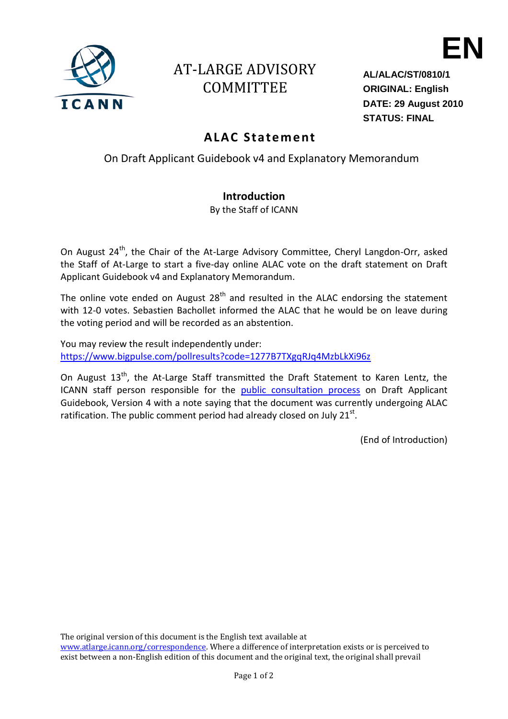

## AT-LARGE ADVISORY COMMITTEE

**AL/ALAC/ST/0810/1 ORIGINAL: English DATE: 29 August 2010 STATUS: FINAL**

**EN**

## **ALAC Sta teme nt**

On Draft Applicant Guidebook v4 and Explanatory Memorandum

## **Introduction**

By the Staff of ICANN

On August 24<sup>th</sup>, the Chair of the At-Large Advisory Committee, Cheryl Langdon-Orr, asked the Staff of At-Large to start a five-day online ALAC vote on the draft statement on Draft Applicant Guidebook v4 and Explanatory Memorandum.

The online vote ended on August  $28<sup>th</sup>$  and resulted in the ALAC endorsing the statement with 12-0 votes. Sebastien Bachollet informed the ALAC that he would be on leave during the voting period and will be recorded as an abstention.

You may review the result independently under: <https://www.bigpulse.com/pollresults?code=1277B7TXgqRJq4MzbLkXi96z>

On August 13<sup>th</sup>, the At-Large Staff transmitted the Draft Statement to Karen Lentz, the ICANN staff person responsible for the [public consultation process](http://www.icann.org/en/public-comment/#guidebook) on Draft Applicant Guidebook, Version 4 with a note saying that the document was currently undergoing ALAC ratification. The public comment period had already closed on July 21 $^{\text{st}}$ .

(End of Introduction)

The original version of this document is the English text available at

www.atlarge.icann.org/correspondence</u>. Where a difference of interpretation exists or is perceived to exist between a non-English edition of this document and the original text, the original shall prevail